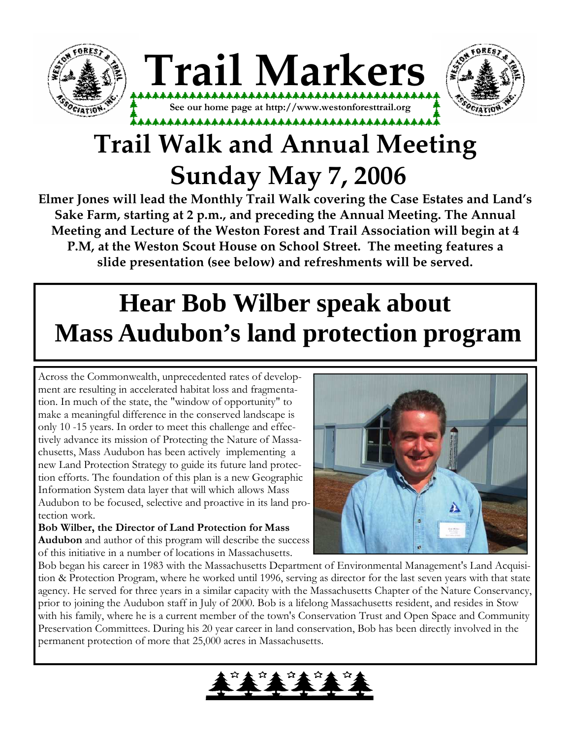



# **Trail Walk and Annual Meeting Sunday May 7, 2006**

**Elmer Jones will lead the Monthly Trail Walk covering the Case Estates and Land's Sake Farm, starting at 2 p.m., and preceding the Annual Meeting. The Annual Meeting and Lecture of the Weston Forest and Trail Association will begin at 4 P.M, at the Weston Scout House on School Street. The meeting features a slide presentation (see below) and refreshments will be served.** 

# **Hear Bob Wilber speak about Mass Audubon's land protection program**

Across the Commonwealth, unprecedented rates of development are resulting in accelerated habitat loss and fragmentation. In much of the state, the "window of opportunity" to make a meaningful difference in the conserved landscape is only 10 -15 years. In order to meet this challenge and effectively advance its mission of Protecting the Nature of Massachusetts, Mass Audubon has been actively implementing a new Land Protection Strategy to guide its future land protection efforts. The foundation of this plan is a new Geographic Information System data layer that will which allows Mass Audubon to be focused, selective and proactive in its land protection work.

Bob Wilber, the Director of Land Protection for Mass Audubon and author of this program will describe the success of this initiative in a number of locations in Massachusetts.



Bob began his career in 1983 with the Massachusetts Department of Environmental Management's Land Acquisition & Protection Program, where he worked until 1996, serving as director for the last seven years with that state agency. He served for three years in a similar capacity with the Massachusetts Chapter of the Nature Conservancy, prior to joining the Audubon staff in July of 2000. Bob is a lifelong Massachusetts resident, and resides in Stow with his family, where he is a current member of the town's Conservation Trust and Open Space and Community Preservation Committees. During his 20 year career in land conservation, Bob has been directly involved in the permanent protection of more that 25,000 acres in Massachusetts.

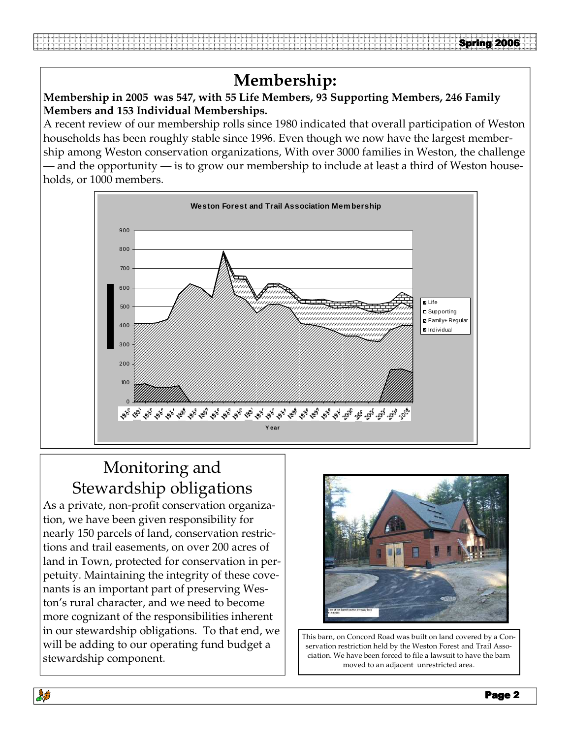# **Membership:**

#### **Membership in 2005 was 547, with 55 Life Members, 93 Supporting Members, 246 Family Members and 153 Individual Memberships.**

A recent review of our membership rolls since 1980 indicated that overall participation of Weston households has been roughly stable since 1996. Even though we now have the largest membership among Weston conservation organizations, With over 3000 families in Weston, the challenge — and the opportunity — is to grow our membership to include at least a third of Weston households, or 1000 members.



# Monitoring and Stewardship obligations

As a private, non-profit conservation organization, we have been given responsibility for nearly 150 parcels of land, conservation restrictions and trail easements, on over 200 acres of land in Town, protected for conservation in perpetuity. Maintaining the integrity of these covenants is an important part of preserving Weston's rural character, and we need to become more cognizant of the responsibilities inherent in our stewardship obligations. To that end, we will be adding to our operating fund budget a stewardship component.



This barn, on Concord Road was built on land covered by a Conservation restriction held by the Weston Forest and Trail Association. We have been forced to file a lawsuit to have the barn moved to an adjacent unrestricted area.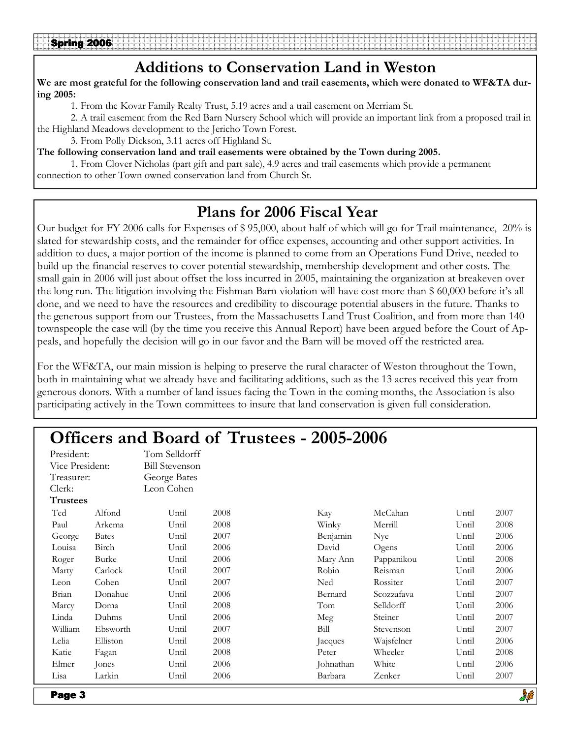### Additions to Conservation Land in Weston

We are most grateful for the following conservation land and trail easements, which were donated to WF&TA during 2005:

1. From the Kovar Family Realty Trust, 5.19 acres and a trail easement on Merriam St.

 2. A trail easement from the Red Barn Nursery School which will provide an important link from a proposed trail in the Highland Meadows development to the Jericho Town Forest.

3. From Polly Dickson, 3.11 acres off Highland St.

The following conservation land and trail easements were obtained by the Town during 2005.

 1. From Clover Nicholas (part gift and part sale), 4.9 acres and trail easements which provide a permanent connection to other Town owned conservation land from Church St.

## Plans for 2006 Fiscal Year

Our budget for FY 2006 calls for Expenses of \$ 95,000, about half of which will go for Trail maintenance, 20% is slated for stewardship costs, and the remainder for office expenses, accounting and other support activities. In addition to dues, a major portion of the income is planned to come from an Operations Fund Drive, needed to build up the financial reserves to cover potential stewardship, membership development and other costs. The small gain in 2006 will just about offset the loss incurred in 2005, maintaining the organization at breakeven over the long run. The litigation involving the Fishman Barn violation will have cost more than \$ 60,000 before it's all done, and we need to have the resources and credibility to discourage potential abusers in the future. Thanks to the generous support from our Trustees, from the Massachusetts Land Trust Coalition, and from more than 140 townspeople the case will (by the time you receive this Annual Report) have been argued before the Court of Appeals, and hopefully the decision will go in our favor and the Barn will be moved off the restricted area.

For the WF&TA, our main mission is helping to preserve the rural character of Weston throughout the Town, both in maintaining what we already have and facilitating additions, such as the 13 acres received this year from generous donors. With a number of land issues facing the Town in the coming months, the Association is also participating actively in the Town committees to insure that land conservation is given full consideration.

| <b>Officers and Board of Trustees - 2005-2006</b> |              |                       |      |           |            |       |      |  |  |  |
|---------------------------------------------------|--------------|-----------------------|------|-----------|------------|-------|------|--|--|--|
| President:                                        |              | Tom Selldorff         |      |           |            |       |      |  |  |  |
| Vice President:                                   |              | <b>Bill Stevenson</b> |      |           |            |       |      |  |  |  |
| Treasurer:                                        |              | George Bates          |      |           |            |       |      |  |  |  |
| Clerk:                                            |              | Leon Cohen            |      |           |            |       |      |  |  |  |
| <b>Trustees</b>                                   |              |                       |      |           |            |       |      |  |  |  |
| Ted                                               | Alfond       | Until                 | 2008 | Kay       | McCahan    | Until | 2007 |  |  |  |
| Paul                                              | Arkema       | Until                 | 2008 | Winky     | Merrill    | Until | 2008 |  |  |  |
| George                                            | <b>Bates</b> | Until                 | 2007 | Benjamin  | Nye        | Until | 2006 |  |  |  |
| Louisa                                            | Birch        | Until                 | 2006 | David     | Ogens      | Until | 2006 |  |  |  |
| Roger                                             | Burke        | Until                 | 2006 | Mary Ann  | Pappanikou | Until | 2008 |  |  |  |
| Marty                                             | Carlock      | Until                 | 2007 | Robin     | Reisman    | Until | 2006 |  |  |  |
| Leon                                              | Cohen        | Until                 | 2007 | Ned       | Rossiter   | Until | 2007 |  |  |  |
| Brian                                             | Donahue      | Until                 | 2006 | Bernard   | Scozzafava | Until | 2007 |  |  |  |
| Marcy                                             | Dorna        | Until                 | 2008 | Tom       | Selldorff  | Until | 2006 |  |  |  |
| Linda                                             | Duhms        | Until                 | 2006 | Meg       | Steiner    | Until | 2007 |  |  |  |
| William                                           | Ebsworth     | Until                 | 2007 | Bill      | Stevenson  | Until | 2007 |  |  |  |
| Lelia                                             | Elliston     | Until                 | 2008 | Jacques   | Wajsfelner | Until | 2006 |  |  |  |
| Katie                                             | Fagan        | Until                 | 2008 | Peter     | Wheeler    | Until | 2008 |  |  |  |
| Elmer                                             | Jones        | Until                 | 2006 | Johnathan | White      | Until | 2006 |  |  |  |
| Lisa                                              | Larkin       | Until                 | 2006 | Barbara   | Zenker     | Until | 2007 |  |  |  |
|                                                   |              |                       |      |           |            |       | 高工   |  |  |  |

**BUS** 

Page 3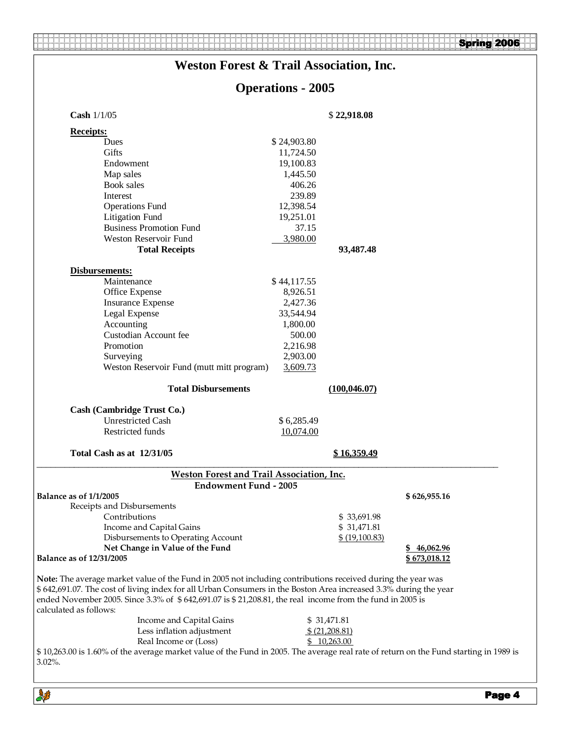#### Spring 2006

## **Weston Forest & Trail Association, Inc.**

# **Operations - 2005**

| Cash 1/1/05                                                                                                                                                                                                                                                                                                                                                           |             |                |                      |
|-----------------------------------------------------------------------------------------------------------------------------------------------------------------------------------------------------------------------------------------------------------------------------------------------------------------------------------------------------------------------|-------------|----------------|----------------------|
| <b>Receipts:</b>                                                                                                                                                                                                                                                                                                                                                      |             |                |                      |
| Dues                                                                                                                                                                                                                                                                                                                                                                  | \$24,903.80 |                |                      |
| Gifts                                                                                                                                                                                                                                                                                                                                                                 | 11,724.50   |                |                      |
| Endowment                                                                                                                                                                                                                                                                                                                                                             | 19,100.83   |                |                      |
| Map sales                                                                                                                                                                                                                                                                                                                                                             | 1,445.50    |                |                      |
| Book sales                                                                                                                                                                                                                                                                                                                                                            | 406.26      |                |                      |
| Interest                                                                                                                                                                                                                                                                                                                                                              | 239.89      |                |                      |
| <b>Operations Fund</b>                                                                                                                                                                                                                                                                                                                                                | 12,398.54   |                |                      |
| <b>Litigation Fund</b>                                                                                                                                                                                                                                                                                                                                                | 19,251.01   |                |                      |
| <b>Business Promotion Fund</b>                                                                                                                                                                                                                                                                                                                                        | 37.15       |                |                      |
| <b>Weston Reservoir Fund</b>                                                                                                                                                                                                                                                                                                                                          | 3,980.00    |                |                      |
| <b>Total Receipts</b>                                                                                                                                                                                                                                                                                                                                                 |             | 93,487.48      |                      |
| Disbursements:                                                                                                                                                                                                                                                                                                                                                        |             |                |                      |
| Maintenance                                                                                                                                                                                                                                                                                                                                                           | \$44,117.55 |                |                      |
| Office Expense                                                                                                                                                                                                                                                                                                                                                        | 8,926.51    |                |                      |
| <b>Insurance Expense</b>                                                                                                                                                                                                                                                                                                                                              | 2,427.36    |                |                      |
| Legal Expense                                                                                                                                                                                                                                                                                                                                                         | 33,544.94   |                |                      |
| Accounting                                                                                                                                                                                                                                                                                                                                                            | 1,800.00    |                |                      |
| Custodian Account fee                                                                                                                                                                                                                                                                                                                                                 | 500.00      |                |                      |
| Promotion                                                                                                                                                                                                                                                                                                                                                             | 2,216.98    |                |                      |
| Surveying                                                                                                                                                                                                                                                                                                                                                             | 2,903.00    |                |                      |
| Weston Reservoir Fund (mutt mitt program)                                                                                                                                                                                                                                                                                                                             | 3,609.73    |                |                      |
|                                                                                                                                                                                                                                                                                                                                                                       |             |                |                      |
| <b>Total Disbursements</b>                                                                                                                                                                                                                                                                                                                                            |             | (100, 046.07)  |                      |
| Cash (Cambridge Trust Co.)                                                                                                                                                                                                                                                                                                                                            |             |                |                      |
| <b>Unrestricted Cash</b>                                                                                                                                                                                                                                                                                                                                              | \$6,285.49  |                |                      |
| Restricted funds                                                                                                                                                                                                                                                                                                                                                      | 10,074.00   |                |                      |
|                                                                                                                                                                                                                                                                                                                                                                       |             |                |                      |
| Total Cash as at 12/31/05                                                                                                                                                                                                                                                                                                                                             |             | \$16,359.49    |                      |
| Weston Forest and Trail Association, Inc.                                                                                                                                                                                                                                                                                                                             |             |                |                      |
| <b>Endowment Fund - 2005</b><br><b>Balance as of 1/1/2005</b>                                                                                                                                                                                                                                                                                                         |             |                | \$626,955.16         |
| Receipts and Disbursements                                                                                                                                                                                                                                                                                                                                            |             |                |                      |
| Contributions                                                                                                                                                                                                                                                                                                                                                         |             | \$33,691.98    |                      |
| Income and Capital Gains                                                                                                                                                                                                                                                                                                                                              |             | \$ 31,471.81   |                      |
| Disbursements to Operating Account                                                                                                                                                                                                                                                                                                                                    |             | \$ (19,100.83) |                      |
| Net Change in Value of the Fund                                                                                                                                                                                                                                                                                                                                       |             |                | \$46,062.96          |
| Balance as of 12/31/2005                                                                                                                                                                                                                                                                                                                                              |             |                | <u>\$ 673,018.12</u> |
| Note: The average market value of the Fund in 2005 not including contributions received during the year was<br>\$642,691.07. The cost of living index for all Urban Consumers in the Boston Area increased 3.3% during the year<br>ended November 2005. Since 3.3% of \$642,691.07 is \$21,208.81, the real income from the fund in 2005 is<br>calculated as follows: |             |                |                      |
| Income and Capital Gains                                                                                                                                                                                                                                                                                                                                              |             | \$ 31,471.81   |                      |
| Less inflation adjustment                                                                                                                                                                                                                                                                                                                                             |             | \$ (21,208.81) |                      |
| Real Income or (Loss)                                                                                                                                                                                                                                                                                                                                                 |             | \$10,263.00    |                      |
| \$10,263.00 is 1.60% of the average market value of the Fund in 2005. The average real rate of return on the Fund starting in 1989 is<br>$3.02\%$ .                                                                                                                                                                                                                   |             |                |                      |

鼻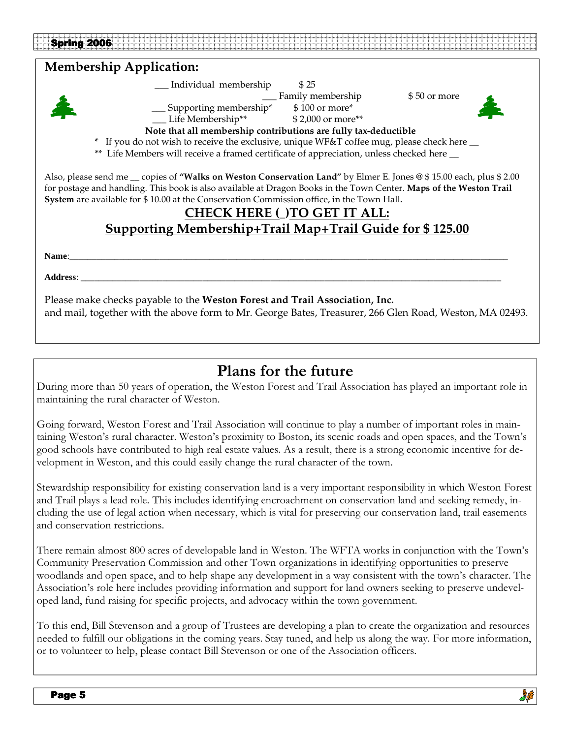#### **Membership Application:**



\_\_\_ Individual membership \$ 25

\_\_\_ Family membership \$ 50 or more



\_\_\_ Supporting membership\* \$ 100 or more\*

\_\_\_ Life Membership\*\* \$ 2,000 or more\*\*

**Note that all membership contributions are fully tax-deductible**

\* If you do not wish to receive the exclusive, unique WF&T coffee mug, please check here  $\perp$ 

\*\* Life Members will receive a framed certificate of appreciation, unless checked here  $\_\_$ 

Also, please send me \_\_ copies of **"Walks on Weston Conservation Land"** by Elmer E. Jones @ \$ 15.00 each, plus \$ 2.00 for postage and handling. This book is also available at Dragon Books in the Town Center. **Maps of the Weston Trail System** are available for \$ 10.00 at the Conservation Commission office, in the Town Hall**.** 

#### **CHECK HERE (**\_**)TO GET IT ALL: Supporting Membership+Trail Map+Trail Guide for \$ 125.00**

**Name**:\_\_\_\_\_\_\_\_\_\_\_\_\_\_\_\_\_\_\_\_\_\_\_\_\_\_\_\_\_\_\_\_\_\_\_\_\_\_\_\_\_\_\_\_\_\_\_\_\_\_\_\_\_\_\_\_\_\_\_\_\_\_\_\_\_\_\_\_\_\_\_\_\_\_\_\_\_\_\_\_\_\_\_\_\_\_\_\_\_\_\_\_\_\_\_\_\_

**Address**: \_\_\_\_\_\_\_\_\_\_\_\_\_\_\_\_\_\_\_\_\_\_\_\_\_\_\_\_\_\_\_\_\_\_\_\_\_\_\_\_\_\_\_\_\_\_\_\_\_\_\_\_\_\_\_\_\_\_\_\_\_\_\_\_\_\_\_\_\_\_\_\_\_\_\_\_\_\_\_\_\_\_\_\_\_\_\_\_\_\_\_\_\_

Please make checks payable to the **Weston Forest and Trail Association, Inc.** and mail, together with the above form to Mr. George Bates, Treasurer, 266 Glen Road, Weston, MA 02493.

### Plans for the future

During more than 50 years of operation, the Weston Forest and Trail Association has played an important role in maintaining the rural character of Weston.

Going forward, Weston Forest and Trail Association will continue to play a number of important roles in maintaining Weston's rural character. Weston's proximity to Boston, its scenic roads and open spaces, and the Town's good schools have contributed to high real estate values. As a result, there is a strong economic incentive for development in Weston, and this could easily change the rural character of the town.

Stewardship responsibility for existing conservation land is a very important responsibility in which Weston Forest and Trail plays a lead role. This includes identifying encroachment on conservation land and seeking remedy, including the use of legal action when necessary, which is vital for preserving our conservation land, trail easements and conservation restrictions.

There remain almost 800 acres of developable land in Weston. The WFTA works in conjunction with the Town's Community Preservation Commission and other Town organizations in identifying opportunities to preserve woodlands and open space, and to help shape any development in a way consistent with the town's character. The Association's role here includes providing information and support for land owners seeking to preserve undeveloped land, fund raising for specific projects, and advocacy within the town government.

To this end, Bill Stevenson and a group of Trustees are developing a plan to create the organization and resources needed to fulfill our obligations in the coming years. Stay tuned, and help us along the way. For more information, or to volunteer to help, please contact Bill Stevenson or one of the Association officers.